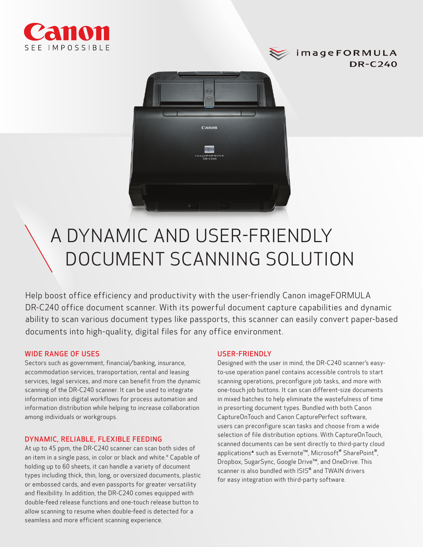





# A DYNAMIC AND USER-FRIENDLY DOCUMENT SCANNING SOLUTION

Help boost office efficiency and productivity with the user-friendly Canon imageFORMULA DR-C240 office document scanner. With its powerful document capture capabilities and dynamic ability to scan various document types like passports, this scanner can easily convert paper-based documents into high-quality, digital files for any office environment.

# WIDE RANGE OF USES

Sectors such as government, financial/banking, insurance, accommodation services, transportation, rental and leasing services, legal services, and more can benefit from the dynamic scanning of the DR-C240 scanner. It can be used to integrate information into digital workflows for process automation and information distribution while helping to increase collaboration among individuals or workgroups.

## DYNAMIC, RELIABLE, FLEXIBLE FEEDING

At up to 45 ppm, the DR-C240 scanner can scan both sides of an item in a single pass, in color or black and white.\* Capable of holding up to 60 sheets, it can handle a variety of document types including thick, thin, long, or oversized documents, plastic or embossed cards, and even passports for greater versatility and flexibility. In addition, the DR-C240 comes equipped with double-feed release functions and one-touch release button to allow scanning to resume when double-feed is detected for a seamless and more efficient scanning experience.

## USER-FRIENDLY

Designed with the user in mind, the DR-C240 scanner's easyto-use operation panel contains accessible controls to start scanning operations, preconfigure job tasks, and more with one-touch job buttons. It can scan different-size documents in mixed batches to help eliminate the wastefulness of time in presorting document types. Bundled with both Canon CaptureOnTouch and Canon CapturePerfect software, users can preconfigure scan tasks and choose from a wide selection of file distribution options. With CaptureOnTouch, scanned documents can be sent directly to third-party cloud applications<sup>▲</sup> such as Evernote™, Microsoft<sup>®</sup> SharePoint<sup>®</sup>, Dropbox, SugarSync, Google Drive™, and OneDrive. This scanner is also bundled with ISIS® and TWAIN drivers for easy integration with third-party software.